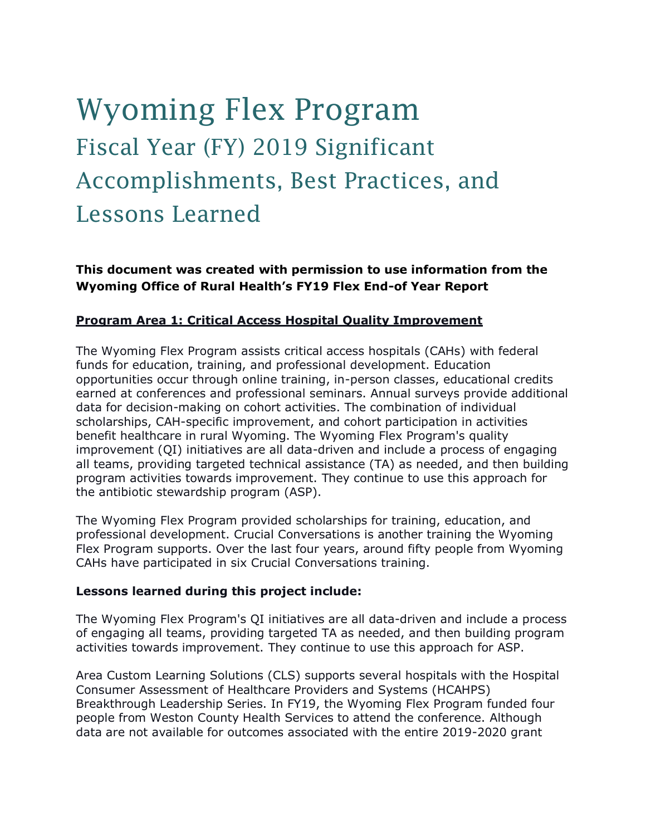# Wyoming Flex Program Fiscal Year (FY) 2019 Significant Accomplishments, Best Practices, and Lessons Learned

**This document was created with permission to use information from the Wyoming Office of Rural Health's FY19 Flex End-of Year Report**

#### **Program Area 1: Critical Access Hospital Quality Improvement**

The Wyoming Flex Program assists critical access hospitals (CAHs) with federal funds for education, training, and professional development. Education opportunities occur through online training, in-person classes, educational credits earned at conferences and professional seminars. Annual surveys provide additional data for decision-making on cohort activities. The combination of individual scholarships, CAH-specific improvement, and cohort participation in activities benefit healthcare in rural Wyoming. The Wyoming Flex Program's quality improvement (QI) initiatives are all data-driven and include a process of engaging all teams, providing targeted technical assistance (TA) as needed, and then building program activities towards improvement. They continue to use this approach for the antibiotic stewardship program (ASP).

The Wyoming Flex Program provided scholarships for training, education, and professional development. Crucial Conversations is another training the Wyoming Flex Program supports. Over the last four years, around fifty people from Wyoming CAHs have participated in six Crucial Conversations training.

#### **Lessons learned during this project include:**

The Wyoming Flex Program's QI initiatives are all data-driven and include a process of engaging all teams, providing targeted TA as needed, and then building program activities towards improvement. They continue to use this approach for ASP.

Area Custom Learning Solutions (CLS) supports several hospitals with the Hospital Consumer Assessment of Healthcare Providers and Systems (HCAHPS) Breakthrough Leadership Series. In FY19, the Wyoming Flex Program funded four people from Weston County Health Services to attend the conference. Although data are not available for outcomes associated with the entire 2019-2020 grant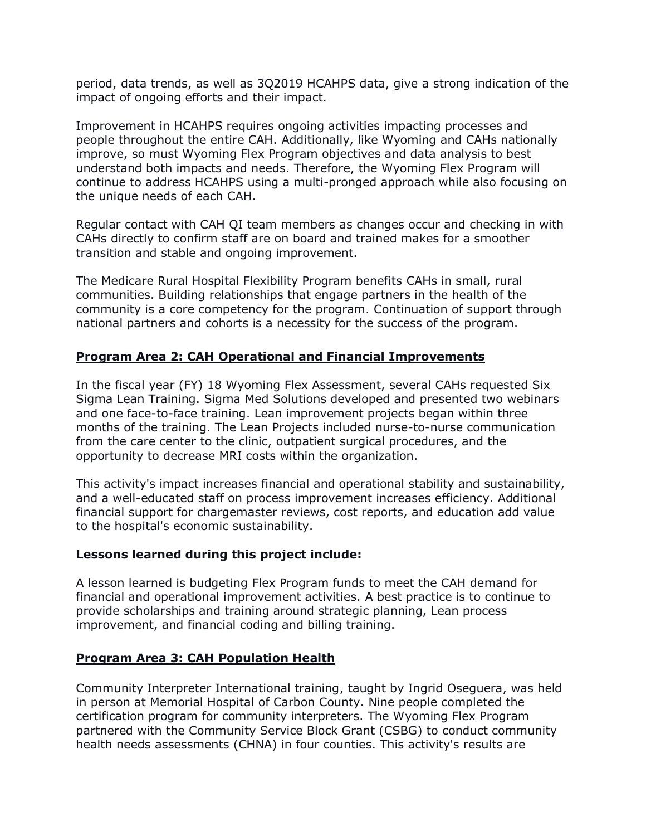period, data trends, as well as 3Q2019 HCAHPS data, give a strong indication of the impact of ongoing efforts and their impact.

Improvement in HCAHPS requires ongoing activities impacting processes and people throughout the entire CAH. Additionally, like Wyoming and CAHs nationally improve, so must Wyoming Flex Program objectives and data analysis to best understand both impacts and needs. Therefore, the Wyoming Flex Program will continue to address HCAHPS using a multi-pronged approach while also focusing on the unique needs of each CAH.

Regular contact with CAH QI team members as changes occur and checking in with CAHs directly to confirm staff are on board and trained makes for a smoother transition and stable and ongoing improvement.

The Medicare Rural Hospital Flexibility Program benefits CAHs in small, rural communities. Building relationships that engage partners in the health of the community is a core competency for the program. Continuation of support through national partners and cohorts is a necessity for the success of the program.

# **Program Area 2: CAH Operational and Financial Improvements**

In the fiscal year (FY) 18 Wyoming Flex Assessment, several CAHs requested Six Sigma Lean Training. Sigma Med Solutions developed and presented two webinars and one face-to-face training. Lean improvement projects began within three months of the training. The Lean Projects included nurse-to-nurse communication from the care center to the clinic, outpatient surgical procedures, and the opportunity to decrease MRI costs within the organization.

This activity's impact increases financial and operational stability and sustainability, and a well-educated staff on process improvement increases efficiency. Additional financial support for chargemaster reviews, cost reports, and education add value to the hospital's economic sustainability.

## **Lessons learned during this project include:**

A lesson learned is budgeting Flex Program funds to meet the CAH demand for financial and operational improvement activities. A best practice is to continue to provide scholarships and training around strategic planning, Lean process improvement, and financial coding and billing training.

## **Program Area 3: CAH Population Health**

Community Interpreter International training, taught by Ingrid Oseguera, was held in person at Memorial Hospital of Carbon County. Nine people completed the certification program for community interpreters. The Wyoming Flex Program partnered with the Community Service Block Grant (CSBG) to conduct community health needs assessments (CHNA) in four counties. This activity's results are